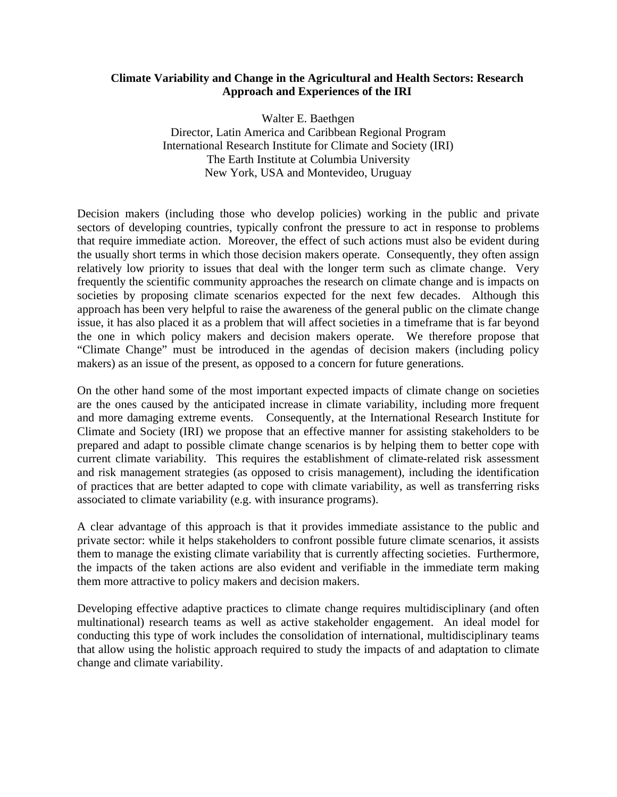## **Climate Variability and Change in the Agricultural and Health Sectors: Research Approach and Experiences of the IRI**

Walter E. Baethgen Director, Latin America and Caribbean Regional Program International Research Institute for Climate and Society (IRI) The Earth Institute at Columbia University New York, USA and Montevideo, Uruguay

Decision makers (including those who develop policies) working in the public and private sectors of developing countries, typically confront the pressure to act in response to problems that require immediate action. Moreover, the effect of such actions must also be evident during the usually short terms in which those decision makers operate. Consequently, they often assign relatively low priority to issues that deal with the longer term such as climate change. Very frequently the scientific community approaches the research on climate change and is impacts on societies by proposing climate scenarios expected for the next few decades. Although this approach has been very helpful to raise the awareness of the general public on the climate change issue, it has also placed it as a problem that will affect societies in a timeframe that is far beyond the one in which policy makers and decision makers operate. We therefore propose that "Climate Change" must be introduced in the agendas of decision makers (including policy makers) as an issue of the present, as opposed to a concern for future generations.

On the other hand some of the most important expected impacts of climate change on societies are the ones caused by the anticipated increase in climate variability, including more frequent and more damaging extreme events. Consequently, at the International Research Institute for Climate and Society (IRI) we propose that an effective manner for assisting stakeholders to be prepared and adapt to possible climate change scenarios is by helping them to better cope with current climate variability. This requires the establishment of climate-related risk assessment and risk management strategies (as opposed to crisis management), including the identification of practices that are better adapted to cope with climate variability, as well as transferring risks associated to climate variability (e.g. with insurance programs).

A clear advantage of this approach is that it provides immediate assistance to the public and private sector: while it helps stakeholders to confront possible future climate scenarios, it assists them to manage the existing climate variability that is currently affecting societies. Furthermore, the impacts of the taken actions are also evident and verifiable in the immediate term making them more attractive to policy makers and decision makers.

Developing effective adaptive practices to climate change requires multidisciplinary (and often multinational) research teams as well as active stakeholder engagement. An ideal model for conducting this type of work includes the consolidation of international, multidisciplinary teams that allow using the holistic approach required to study the impacts of and adaptation to climate change and climate variability.